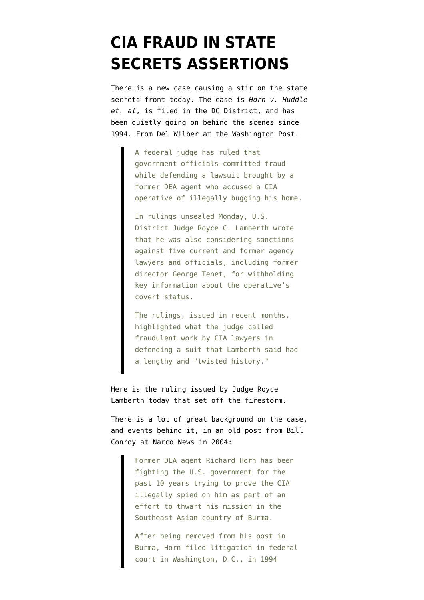## **[CIA FRAUD IN STATE](https://www.emptywheel.net/2009/07/20/cia-fraud-in-state-secrets-assertions/) [SECRETS ASSERTIONS](https://www.emptywheel.net/2009/07/20/cia-fraud-in-state-secrets-assertions/)**

There is a new case causing a stir on the state secrets front today. The case is *Horn v. Huddle et. al*, is filed in the DC District, and has been quietly going on behind the scenes since 1994. From Del Wilber at the [Washington Post](http://www.washingtonpost.com/wp-dyn/content/article/2009/07/20/AR2009072002251.html):

> A federal judge has ruled that government officials committed fraud while defending a lawsuit brought by a former DEA agent who accused a CIA operative of illegally bugging his home.

In rulings unsealed Monday, U.S. District Judge Royce C. Lamberth wrote that he was also considering sanctions against five current and former agency lawyers and officials, including former director George Tenet, for withholding key information about the operative's covert status.

The rulings, issued in recent months, highlighted what the judge called fraudulent work by CIA lawyers in defending a suit that Lamberth said had a lengthy and "twisted history."

[Here is the ruling issued](http://emptywheel.firedoglake.com/files/28/files//2009/07/lamberth7-20-09order.pdf) by Judge Royce Lamberth today that set off the firestorm.

There is a lot of great background on the case, and events behind it, in an old post from [Bill](http://www.narconews.com/Issue34/article1063.html) [Conroy at Narco News in 2004](http://www.narconews.com/Issue34/article1063.html):

> Former DEA agent Richard Horn has been fighting the U.S. government for the past 10 years trying to prove the CIA illegally spied on him as part of an effort to thwart his mission in the Southeast Asian country of Burma.

After being removed from his post in Burma, Horn filed litigation in federal court in Washington, D.C., in 1994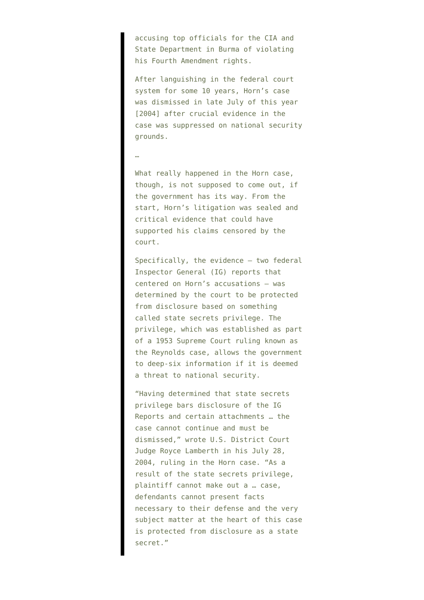accusing top officials for the CIA and State Department in Burma of violating his Fourth Amendment rights.

After languishing in the federal court system for some 10 years, Horn's case was dismissed in late July of this year [2004] after crucial evidence in the case was suppressed on national security grounds.

## …

What really happened in the Horn case, though, is not supposed to come out, if the government has its way. From the start, Horn's litigation was sealed and critical evidence that could have supported his claims censored by the court.

Specifically, the evidence – two federal Inspector General (IG) reports that centered on Horn's accusations – was determined by the court to be protected from disclosure based on something called state secrets privilege. The privilege, which was established as part of a 1953 Supreme Court ruling known as the Reynolds case, allows the government to deep-six information if it is deemed a threat to national security.

"Having determined that state secrets privilege bars disclosure of the IG Reports and certain attachments … the case cannot continue and must be dismissed," wrote U.S. District Court Judge Royce Lamberth in his July 28, 2004, ruling in the Horn case. "As a result of the state secrets privilege, plaintiff cannot make out a … case, defendants cannot present facts necessary to their defense and the very subject matter at the heart of this case is protected from disclosure as a state secret."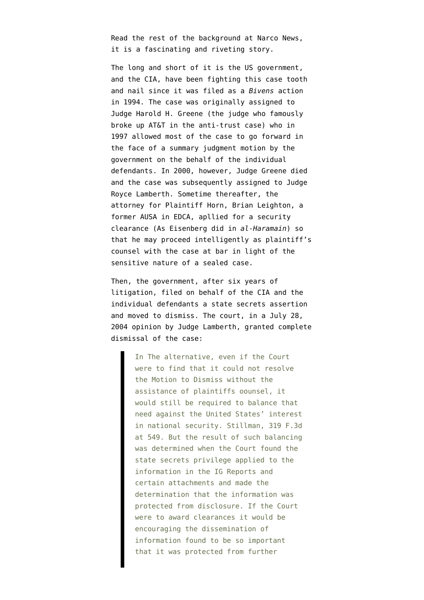Read the rest of the background at [Narco News](http://www.narconews.com/Issue34/article1063.html), it is a fascinating and riveting story.

The long and short of it is the US government, and the CIA, have been fighting this case tooth and nail since it was filed as a *Bivens* action in 1994. The case was originally assigned to Judge Harold H. Greene (the judge who famously broke up AT&T in the anti-trust case) who in 1997 allowed most of the case to go forward in the face of a summary judgment motion by the government on the behalf of the individual defendants. In 2000, however, [Judge Greene died](http://www.beagle-ears.com/lars/engineer/telecom/obit-grn.htm) and the case was subsequently assigned to Judge Royce Lamberth. Sometime thereafter, the attorney for Plaintiff Horn, Brian Leighton, a former AUSA in EDCA, apllied for a security clearance (As Eisenberg did in *al-Haramain*) so that he may proceed intelligently as plaintiff's counsel with the case at bar in light of the sensitive nature of a sealed case.

Then, the government, after six years of litigation, filed on behalf of the CIA and the individual defendants a state secrets assertion and moved to dismiss. The court, in a [July 28,](http://emptywheel.firedoglake.com/files/28/files//2009/07/lamberth7-28-04opinion.pdf) [2004 opinion](http://emptywheel.firedoglake.com/files/28/files//2009/07/lamberth7-28-04opinion.pdf) by Judge Lamberth, granted complete dismissal of the case:

> In The alternative, even if the Court were to find that it could not resolve the Motion to Dismiss without the assistance of plaintiffs oounsel, it would still be required to balance that need against the United States' interest in national security. Stillman, 319 F.3d at 549. But the result of such balancing was determined when the Court found the state secrets privilege applied to the information in the IG Reports and certain attachments and made the determination that the information was protected from disclosure. If the Court were to award clearances it would be encouraging the dissemination of information found to be so important that it was protected from further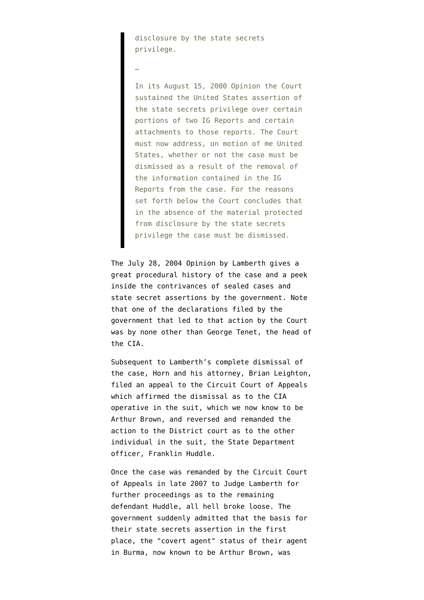disclosure by the state secrets privilege.

…

In its August 15, 2000 Opinion the Court sustained the United States assertion of the state secrets privilege over certain portions of two IG Reports and certain attachments to those reports. The Court must now address, on motion of me United States, whether or not the case must be dismissed as a result of the removal of the information contained in the IG Reports from the case. For the reasons set forth below the Court concludes that in the absence of the material protected from disclosure by the state secrets privilege the case must be dismissed.

The [July 28, 2004 Opinion](http://emptywheel.firedoglake.com/files/28/files//2009/07/lamberth7-28-04opinion.pdf) by Lamberth gives a great procedural history of the case and a peek inside the contrivances of sealed cases and state secret assertions by the government. Note that one of the declarations filed by the government that led to that action by the Court was by none other than George Tenet, the head of the CIA.

Subsequent to Lamberth's complete dismissal of the case, Horn and his attorney, Brian Leighton, filed an appeal to the Circuit Court of Appeals which affirmed the dismissal as to the CIA operative in the suit, which we now know to be Arthur Brown, and reversed and remanded the action to the District court as to the other individual in the suit, the State Department officer, Franklin Huddle.

Once the case was remanded by the Circuit Court of Appeals in late 2007 to Judge Lamberth for further proceedings as to the remaining defendant Huddle, all hell broke loose. The government suddenly admitted that the basis for their state secrets assertion in the first place, the "covert agent" status of their agent in Burma, now known to be Arthur Brown, was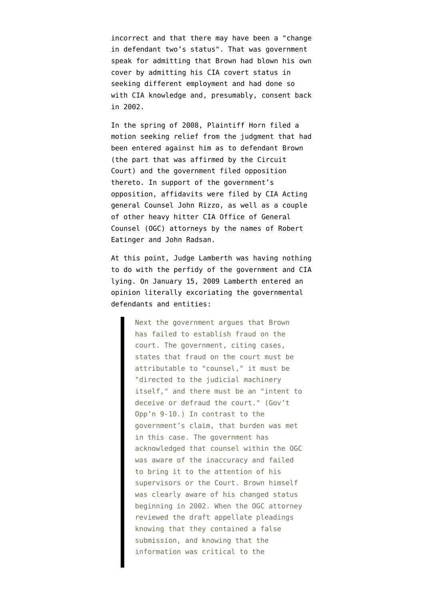incorrect and that there may have been a "change in defendant two's status". That was government speak for admitting that Brown had blown his own cover by admitting his CIA covert status in seeking different employment and had done so with CIA knowledge and, presumably, consent back in 2002.

In the spring of 2008, Plaintiff Horn filed a motion seeking relief from the judgment that had been entered against him as to defendant Brown (the part that was affirmed by the Circuit Court) and the government filed opposition thereto. In support of the government's opposition, affidavits were filed by CIA Acting general Counsel [John Rizzo,](http://emptywheel.firedoglake.com/2009/04/22/torture-architect-john-rizzo-still-working-at-cia/) as well as a couple of other heavy hitter CIA Office of General Counsel (OGC) attorneys by the names of Robert Eatinger and John Radsan.

At this point, Judge Lamberth was having nothing to do with the perfidy of the government and CIA lying. On [January 15, 2009 Lamberth entered an](http://emptywheel.firedoglake.com/files/28/files//2009/07/lamberth1-15-09opinion.pdf) [opinion](http://emptywheel.firedoglake.com/files/28/files//2009/07/lamberth1-15-09opinion.pdf) literally excoriating the governmental defendants and entities:

> Next the government argues that Brown has failed to establish fraud on the court. The government, citing cases, states that fraud on the court must be attributable to "counsel," it must be "directed to the judicial machinery itself," and there must be an "intent to deceive or defraud the court." (Gov't Opp'n 9-10.) In contrast to the government's claim, that burden was met in this case. The government has acknowledged that counsel within the OGC was aware of the inaccuracy and failed to bring it to the attention of his supervisors or the Court. Brown himself was clearly aware of his changed status beginning in 2002. When the OGC attorney reviewed the draft appellate pleadings knowing that they contained a false submission, and knowing that the information was critical to the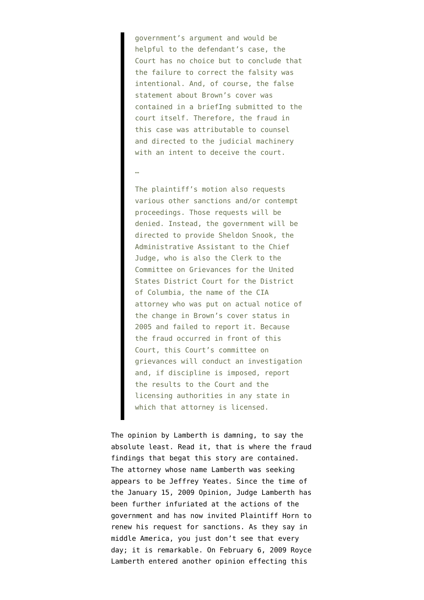government's argument and would be helpful to the defendant's case, the Court has no choice but to conclude that the failure to correct the falsity was intentional. And, of course, the false statement about Brown's cover was contained in a briefIng submitted to the court itself. Therefore, the fraud in this case was attributable to counsel and directed to the judicial machinery with an intent to deceive the court.

## …

The plaintiff's motion also requests various other sanctions and/or contempt proceedings. Those requests will be denied. Instead, the government will be directed to provide Sheldon Snook, the Administrative Assistant to the Chief Judge, who is also the Clerk to the Committee on Grievances for the United States District Court for the District of Columbia, the name of the CIA attorney who was put on actual notice of the change in Brown's cover status in 2005 and failed to report it. Because the fraud occurred in front of this Court, this Court's committee on grievances will conduct an investigation and, if discipline is imposed, report the results to the Court and the licensing authorities in any state in which that attorney is licensed.

The opinion by Lamberth is damning, to say the absolute least. [Read it,](http://emptywheel.firedoglake.com/files/28/files//2009/07/lamberth1-15-09opinion.pdf) that is where the fraud findings that begat this story are contained. The attorney whose name Lamberth was seeking appears to be Jeffrey Yeates. Since the time of the January 15, 2009 Opinion, Judge Lamberth has been further infuriated at the actions of the government and has now invited Plaintiff Horn to renew his request for sanctions. As they say in middle America, you just don't see that every day; it is remarkable. On [February 6, 2009](http://emptywheel.firedoglake.com/files/28/files//2009/07/lamberth2-06-09opinion.pdf) Royce Lamberth entered another opinion effecting this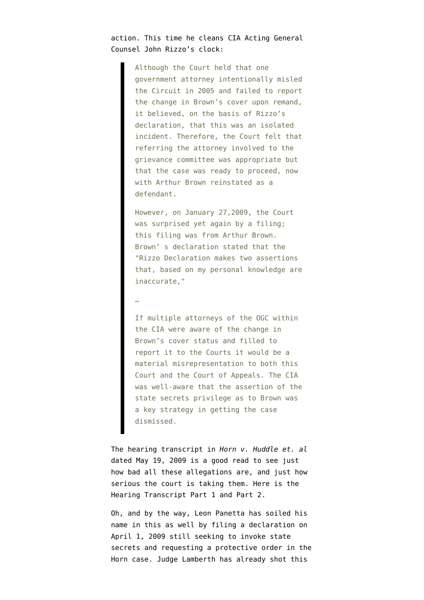action. This time he cleans CIA Acting General Counsel John Rizzo's clock:

> Although the Court held that one government attorney intentionally misled the Circuit in 2005 and failed to report the change in Brown's cover upon remand, it believed, on the basis of Rizzo's declaration, that this was an isolated incident. Therefore, the Court felt that referring the attorney involved to the grievance committee was appropriate but that the case was ready to proceed, now with Arthur Brown reinstated as a defendant.

> However, on January 27,2009, the Court was surprised yet again by a filing; this filing was from Arthur Brown. Brown' s declaration stated that the "Rizzo Declaration makes two assertions that, based on my personal knowledge are inaccurate,"

## …

If multiple attorneys of the OGC within the CIA were aware of the change in Brown's cover status and filled to report it to the Courts it would be a material misrepresentation to both this Court and the Court of Appeals. The CIA was well-aware that the assertion of the state secrets privilege as to Brown was a key strategy in getting the case dismissed.

The hearing transcript in *Horn v. Huddle et. al* dated May 19, 2009 is a good read to see just how bad all these allegations are, and just how serious the court is taking them. Here is the Hearing Transcript [Part 1](http://emptywheel.firedoglake.com/files/28/files//2009/07/pt1horn5-19-09transcript.pdf) and [Part 2](http://emptywheel.firedoglake.com/files/28/files//2009/07/pt2horn5-19-09transcript.pdf).

Oh, and by the way, Leon Panetta has soiled his name in this as well by filing a declaration on April 1, 2009 still seeking to invoke state secrets and requesting a protective order in the Horn case. Judge Lamberth has already shot this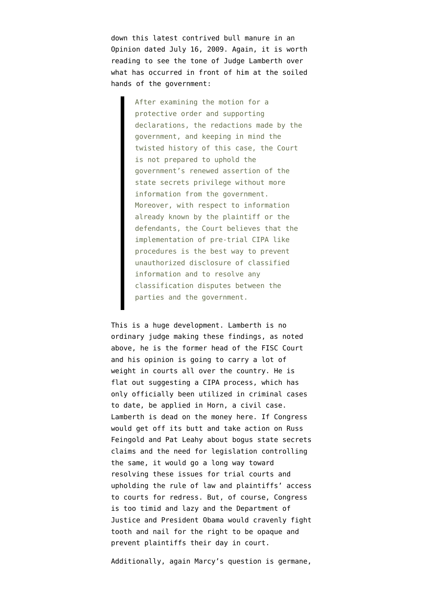down this latest contrived bull manure in an [Opinion dated July 16, 2009](http://emptywheel.firedoglake.com/files/28/files//2009/07/horn7-16-09opinion.pdf). Again, it is worth reading to see the tone of Judge Lamberth over what has occurred in front of him at the soiled hands of the government:

> After examining the motion for a protective order and supporting declarations, the redactions made by the government, and keeping in mind the twisted history of this case, the Court is not prepared to uphold the government's renewed assertion of the state secrets privilege without more information from the government. Moreover, with respect to information already known by the plaintiff or the defendants, the Court believes that the implementation of pre-trial CIPA like procedures is the best way to prevent unauthorized disclosure of classified information and to resolve any classification disputes between the parties and the government.

This is a huge development. Lamberth is no ordinary judge making these findings, as noted above, he is the former head of the FISC Court and his opinion is going to carry a lot of weight in courts all over the country. He is flat out suggesting a CIPA process, which has only officially been utilized in criminal cases to date, be applied in Horn, a civil case. Lamberth is dead on the money here. If Congress would get off its butt and take action on [Russ](http://emptywheel.firedoglake.com/2009/06/15/russ-feingold-throws-vaughn-walker-a-softball/) [Feingold](http://emptywheel.firedoglake.com/2009/06/15/russ-feingold-throws-vaughn-walker-a-softball/) and [Pat Leahy](http://emptywheel.firedoglake.com/2009/02/11/the-senate-state-secrets-bill/) about bogus state secrets claims and the need for legislation controlling the same, it would go a long way toward resolving these issues for trial courts and upholding the rule of law and plaintiffs' access to courts for redress. But, of course, Congress is too timid and lazy and the Department of Justice and President Obama would cravenly fight tooth and nail for the right to be opaque and prevent plaintiffs their day in court.

Additionally, [again Marcy's question is germane,](http://emptywheel.firedoglake.com/2009/04/22/torture-architect-john-rizzo-still-working-at-cia/)